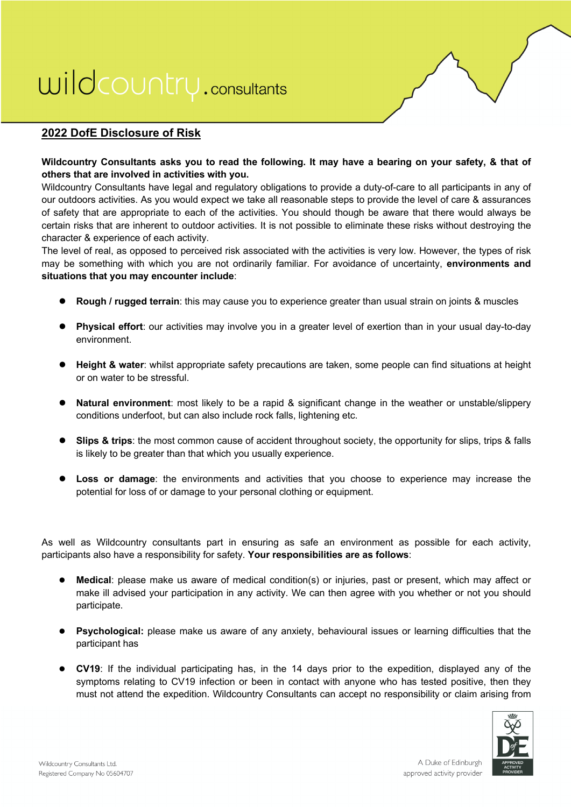#### **2022 DofE Disclosure of Risk**

#### **Wildcountry Consultants asks you to read the following. It may have a bearing on your safety, & that of others that are involved in activities with you.**

Wildcountry Consultants have legal and regulatory obligations to provide a duty-of-care to all participants in any of our outdoors activities. As you would expect we take all reasonable steps to provide the level of care & assurances of safety that are appropriate to each of the activities. You should though be aware that there would always be certain risks that are inherent to outdoor activities. It is not possible to eliminate these risks without destroying the character & experience of each activity.

The level of real, as opposed to perceived risk associated with the activities is very low. However, the types of risk may be something with which you are not ordinarily familiar. For avoidance of uncertainty, **environments and situations that you may encounter include**:

- **Rough / rugged terrain**: this may cause you to experience greater than usual strain on joints & muscles
- **Physical effort**: our activities may involve you in a greater level of exertion than in your usual day-to-day environment.
- **e** Height & water: whilst appropriate safety precautions are taken, some people can find situations at height or on water to be stressful.
- l **Natural environment**: most likely to be a rapid & significant change in the weather or unstable/slippery conditions underfoot, but can also include rock falls, lightening etc.
- **Slips & trips**: the most common cause of accident throughout society, the opportunity for slips, trips & falls is likely to be greater than that which you usually experience.
- **I Loss or damage**: the environments and activities that you choose to experience may increase the potential for loss of or damage to your personal clothing or equipment.

As well as Wildcountry consultants part in ensuring as safe an environment as possible for each activity, participants also have a responsibility for safety. **Your responsibilities are as follows**:

- **Medical:** please make us aware of medical condition(s) or injuries, past or present, which may affect or make ill advised your participation in any activity. We can then agree with you whether or not you should participate.
- **Psychological:** please make us aware of any anxiety, behavioural issues or learning difficulties that the participant has
- **CV19**: If the individual participating has, in the 14 days prior to the expedition, displayed any of the symptoms relating to CV19 infection or been in contact with anyone who has tested positive, then they must not attend the expedition. Wildcountry Consultants can accept no responsibility or claim arising from

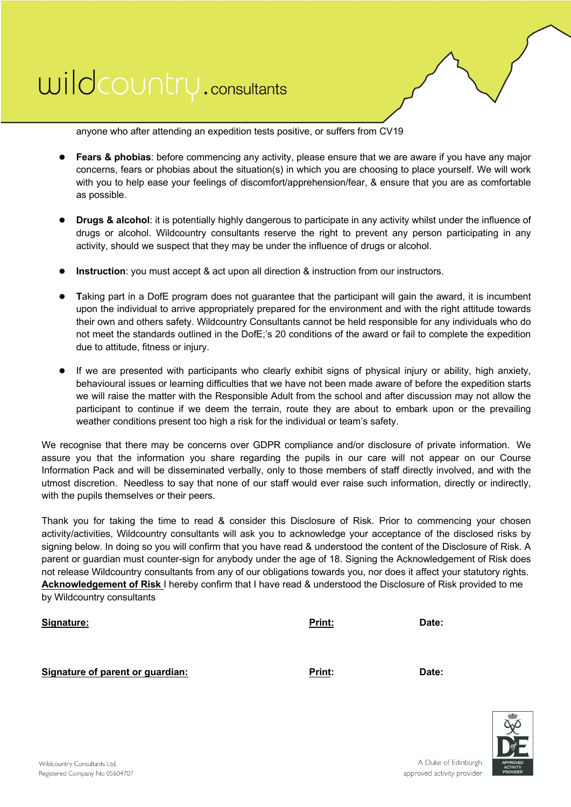

anyone who after attending an expedition tests positive, or suffers from CV19

- **Fears & phobias**: before commencing any activity, please ensure that we are aware if you have any major concerns, fears or phobias about the situation(s) in which you are choosing to place yourself. We will work with you to help ease your feelings of discomfort/apprehension/fear, & ensure that you are as comfortable as possible.
- l **Drugs & alcohol**: it is potentially highly dangerous to participate in any activity whilst under the influence of drugs or alcohol. Wildcountry consultants reserve the right to prevent any person participating in any activity, should we suspect that they may be under the influence of drugs or alcohol.
- **Instruction**: you must accept & act upon all direction & instruction from our instructors.
- l **T**aking part in a DofE program does not guarantee that the participant will gain the award, it is incumbent upon the individual to arrive appropriately prepared for the environment and with the right attitude towards their own and others safety. Wildcountry Consultants cannot be held responsible for any individuals who do not meet the standards outlined in the DofE;'s 20 conditions of the award or fail to complete the expedition due to attitude, fitness or injury.
- If we are presented with participants who clearly exhibit signs of physical injury or ability, high anxiety, behavioural issues or learning difficulties that we have not been made aware of before the expedition starts we will raise the matter with the Responsible Adult from the school and after discussion may not allow the participant to continue if we deem the terrain, route they are about to embark upon or the prevailing weather conditions present too high a risk for the individual or team's safety.

We recognise that there may be concerns over GDPR compliance and/or disclosure of private information. We assure you that the information you share regarding the pupils in our care will not appear on our Course Information Pack and will be disseminated verbally, only to those members of staff directly involved, and with the utmost discretion. Needless to say that none of our staff would ever raise such information, directly or indirectly, with the pupils themselves or their peers.

Thank you for taking the time to read & consider this Disclosure of Risk. Prior to commencing your chosen activity/activities, Wildcountry consultants will ask you to acknowledge your acceptance of the disclosed risks by signing below. In doing so you will confirm that you have read & understood the content of the Disclosure of Risk. A parent or guardian must counter-sign for anybody under the age of 18. Signing the Acknowledgement of Risk does not release Wildcountry consultants from any of our obligations towards you, nor does it affect your statutory rights. **Acknowledgement of Risk** I hereby confirm that I have read & understood the Disclosure of Risk provided to me by Wildcountry consultants

| <u>Signature:</u> | Print: | Date: |
|-------------------|--------|-------|
|                   |        |       |
|                   |        |       |

#### **Signature of parent or guardian: Print: Date:**

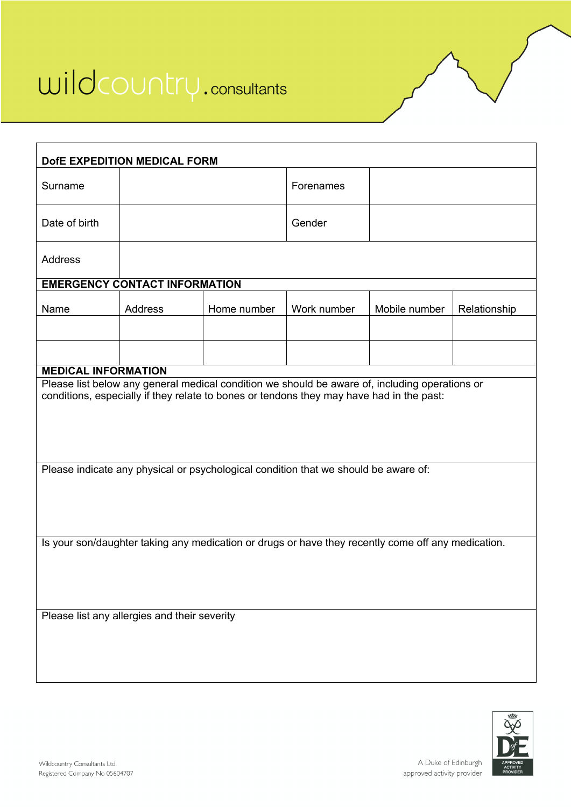

| DofE EXPEDITION MEDICAL FORM                                                                       |                                              |                                                                                                |             |               |              |  |  |
|----------------------------------------------------------------------------------------------------|----------------------------------------------|------------------------------------------------------------------------------------------------|-------------|---------------|--------------|--|--|
| Surname                                                                                            |                                              |                                                                                                | Forenames   |               |              |  |  |
| Date of birth                                                                                      |                                              |                                                                                                | Gender      |               |              |  |  |
| Address                                                                                            |                                              |                                                                                                |             |               |              |  |  |
|                                                                                                    | <b>EMERGENCY CONTACT INFORMATION</b>         |                                                                                                |             |               |              |  |  |
| Name                                                                                               | Address                                      | Home number                                                                                    | Work number | Mobile number | Relationship |  |  |
|                                                                                                    |                                              |                                                                                                |             |               |              |  |  |
|                                                                                                    |                                              |                                                                                                |             |               |              |  |  |
| <b>MEDICAL INFORMATION</b>                                                                         |                                              |                                                                                                |             |               |              |  |  |
|                                                                                                    |                                              | Please list below any general medical condition we should be aware of, including operations or |             |               |              |  |  |
| conditions, especially if they relate to bones or tendons they may have had in the past:           |                                              |                                                                                                |             |               |              |  |  |
| Please indicate any physical or psychological condition that we should be aware of:                |                                              |                                                                                                |             |               |              |  |  |
|                                                                                                    |                                              |                                                                                                |             |               |              |  |  |
| Is your son/daughter taking any medication or drugs or have they recently come off any medication. |                                              |                                                                                                |             |               |              |  |  |
|                                                                                                    |                                              |                                                                                                |             |               |              |  |  |
|                                                                                                    | Please list any allergies and their severity |                                                                                                |             |               |              |  |  |